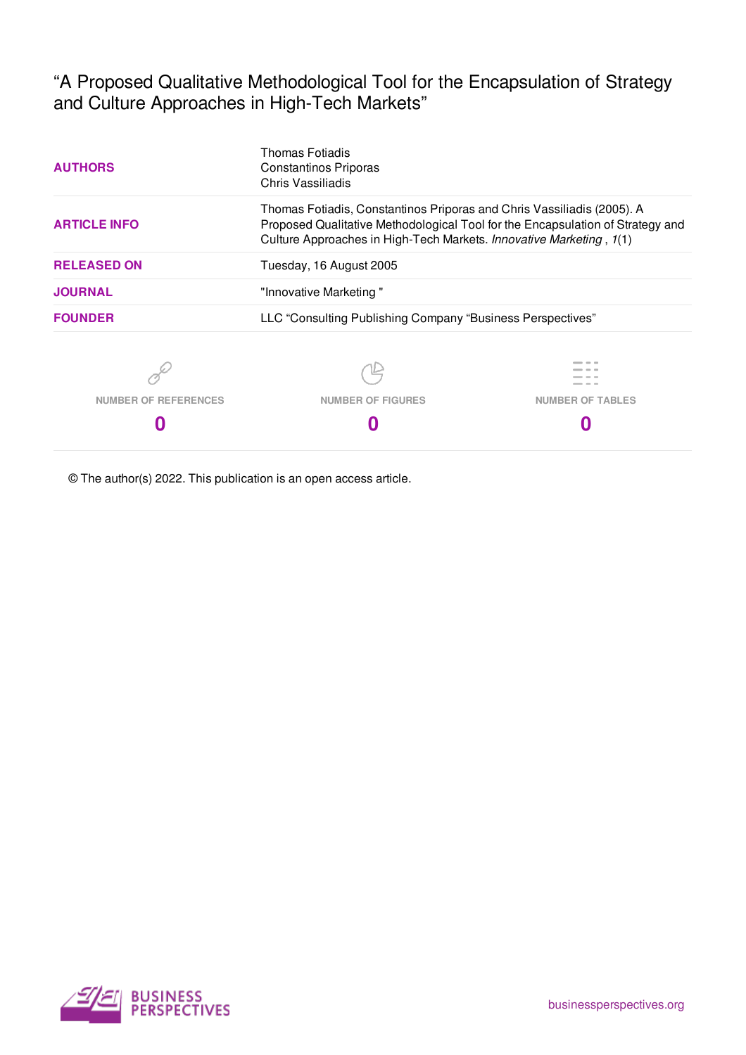"A Proposed Qualitative Methodological Tool for the Encapsulation of Strategy and Culture Approaches in High-Tech Markets"

| <b>AUTHORS</b>              | <b>Thomas Fotiadis</b><br><b>Constantinos Priporas</b><br>Chris Vassiliadis                                                                                                                                                     |                         |
|-----------------------------|---------------------------------------------------------------------------------------------------------------------------------------------------------------------------------------------------------------------------------|-------------------------|
| <b>ARTICLE INFO</b>         | Thomas Fotiadis, Constantinos Priporas and Chris Vassiliadis (2005). A<br>Proposed Qualitative Methodological Tool for the Encapsulation of Strategy and<br>Culture Approaches in High-Tech Markets. Innovative Marketing, 1(1) |                         |
| <b>RELEASED ON</b>          | Tuesday, 16 August 2005                                                                                                                                                                                                         |                         |
| <b>JOURNAL</b>              | "Innovative Marketing"                                                                                                                                                                                                          |                         |
| <b>FOUNDER</b>              | LLC "Consulting Publishing Company "Business Perspectives"                                                                                                                                                                      |                         |
|                             |                                                                                                                                                                                                                                 |                         |
| <b>NUMBER OF REFERENCES</b> | <b>NUMBER OF FIGURES</b>                                                                                                                                                                                                        | <b>NUMBER OF TABLES</b> |
|                             |                                                                                                                                                                                                                                 |                         |

© The author(s) 2022. This publication is an open access article.

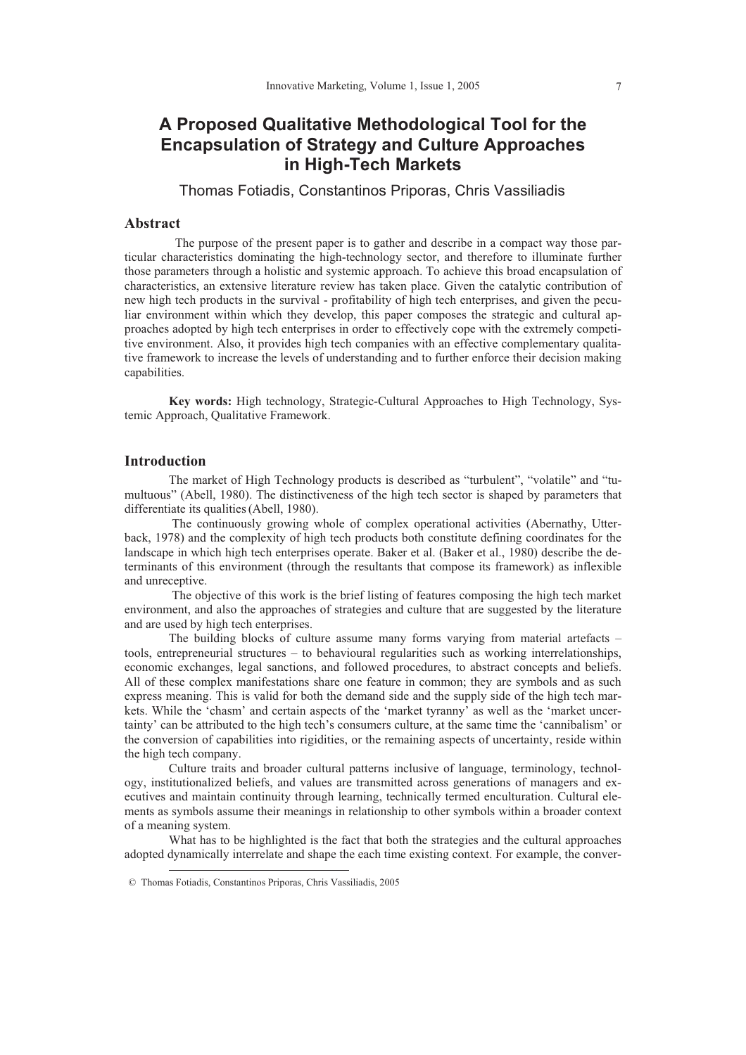# **A Proposed Qualitative Methodological Tool for the Encapsulation of Strategy and Culture Approaches in High-Tech Markets**

Thomas Fotiadis, Constantinos Priporas, Chris Vassiliadis

### **Abstract**

 The purpose of the present paper is to gather and describe in a compact way those particular characteristics dominating the high-technology sector, and therefore to illuminate further those parameters through a holistic and systemic approach. To achieve this broad encapsulation of characteristics, an extensive literature review has taken place. Given the catalytic contribution of new high tech products in the survival - profitability of high tech enterprises, and given the peculiar environment within which they develop, this paper composes the strategic and cultural approaches adopted by high tech enterprises in order to effectively cope with the extremely competitive environment. Also, it provides high tech companies with an effective complementary qualitative framework to increase the levels of understanding and to further enforce their decision making capabilities.

**Key words:** High technology, Strategic-Cultural Approaches to High Technology, Systemic Approach, Qualitative Framework.

## **Introduction**

 $\overline{a}$ 

The market of High Technology products is described as "turbulent", "volatile" and "tumultuous" (Abell, 1980). The distinctiveness of the high tech sector is shaped by parameters that differentiate its qualities (Abell, 1980).

 The continuously growing whole of complex operational activities (Abernathy, Utterback, 1978) and the complexity of high tech products both constitute defining coordinates for the landscape in which high tech enterprises operate. Baker et al. (Baker et al., 1980) describe the determinants of this environment (through the resultants that compose its framework) as inflexible and unreceptive.

 The objective of this work is the brief listing of features composing the high tech market environment, and also the approaches of strategies and culture that are suggested by the literature and are used by high tech enterprises.

The building blocks of culture assume many forms varying from material artefacts – tools, entrepreneurial structures – to behavioural regularities such as working interrelationships, economic exchanges, legal sanctions, and followed procedures, to abstract concepts and beliefs. All of these complex manifestations share one feature in common; they are symbols and as such express meaning. This is valid for both the demand side and the supply side of the high tech markets. While the 'chasm' and certain aspects of the 'market tyranny' as well as the 'market uncertainty' can be attributed to the high tech's consumers culture, at the same time the 'cannibalism' or the conversion of capabilities into rigidities, or the remaining aspects of uncertainty, reside within the high tech company.

Culture traits and broader cultural patterns inclusive of language, terminology, technology, institutionalized beliefs, and values are transmitted across generations of managers and executives and maintain continuity through learning, technically termed enculturation. Cultural elements as symbols assume their meanings in relationship to other symbols within a broader context of a meaning system.

What has to be highlighted is the fact that both the strategies and the cultural approaches adopted dynamically interrelate and shape the each time existing context. For example, the conver-

 <sup>©</sup> Thomas Fotiadis, Constantinos Priporas, Chris Vassiliadis, 2005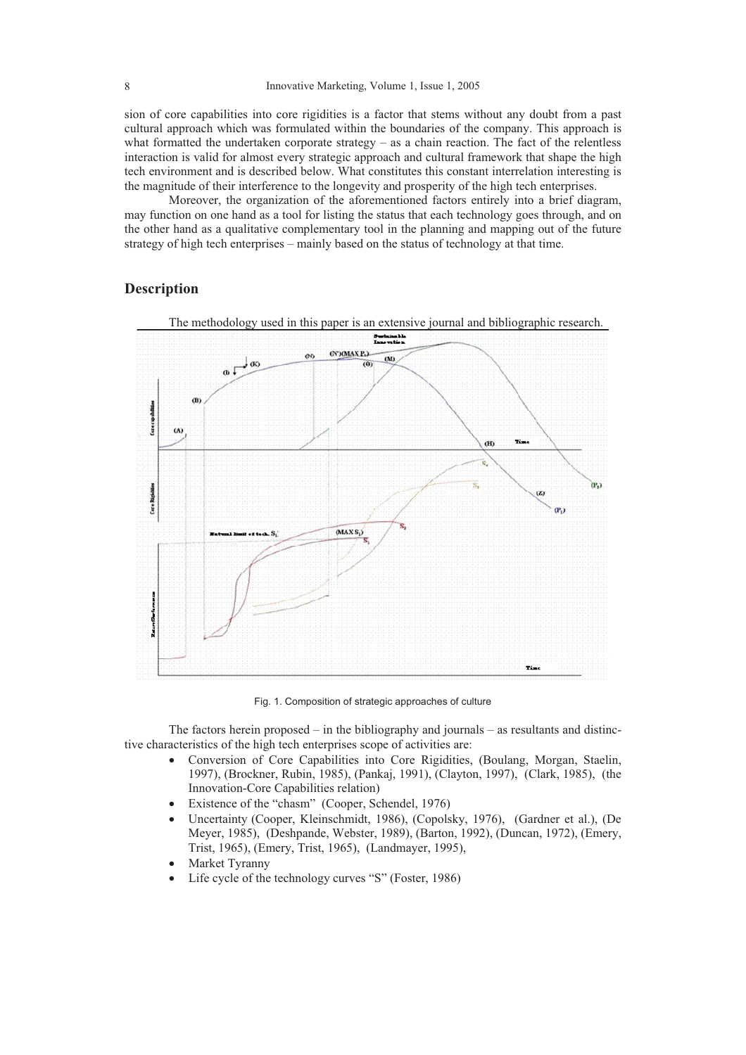sion of core capabilities into core rigidities is a factor that stems without any doubt from a past cultural approach which was formulated within the boundaries of the company. This approach is what formatted the undertaken corporate strategy – as a chain reaction. The fact of the relentless interaction is valid for almost every strategic approach and cultural framework that shape the high tech environment and is described below. What constitutes this constant interrelation interesting is the magnitude of their interference to the longevity and prosperity of the high tech enterprises.

Moreover, the organization of the aforementioned factors entirely into a brief diagram, may function on one hand as a tool for listing the status that each technology goes through, and on the other hand as a qualitative complementary tool in the planning and mapping out of the future strategy of high tech enterprises – mainly based on the status of technology at that time.

# **Description**



The methodology used in this paper is an extensive journal and bibliographic research.

Fig. 1. Composition of strategic approaches of culture

The factors herein proposed – in the bibliography and journals – as resultants and distinctive characteristics of the high tech enterprises scope of activities are:

- x Conversion of Core Capabilities into Core Rigidities, (Boulang, Morgan, Staelin, 1997), (Brockner, Rubin, 1985), (Pankaj, 1991), (Clayton, 1997), (Clark, 1985), (the Innovation-Core Capabilities relation)
- Existence of the "chasm" (Cooper, Schendel, 1976)
- x Uncertainty (Cooper, Kleinschmidt, 1986), (Copolsky, 1976), (Gardner et al.), (De Meyer, 1985), (Deshpande, Webster, 1989), (Barton, 1992), (Duncan, 1972), (Emery, Trist, 1965), (Emery, Trist, 1965), (Landmayer, 1995),
- Market Tyranny
- Life cycle of the technology curves "S" (Foster, 1986)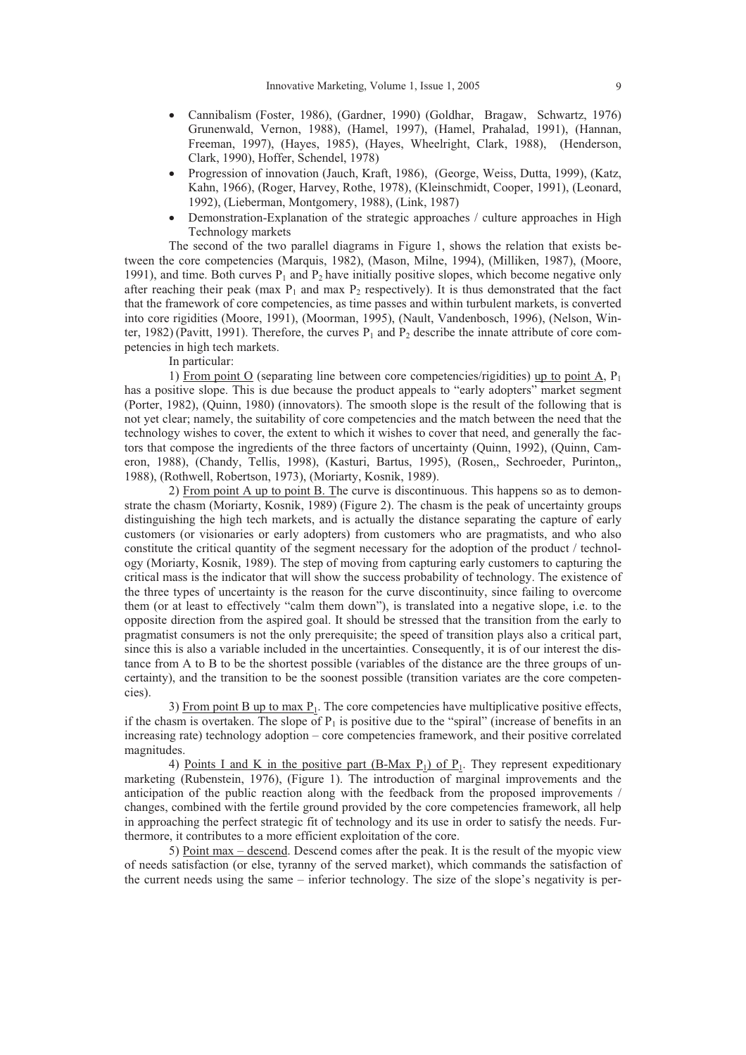- x Cannibalism (Foster, 1986), (Gardner, 1990) (Goldhar, Bragaw, Schwartz, 1976) Grunenwald, Vernon, 1988), (Hamel, 1997), (Hamel, Prahalad, 1991), (Hannan, Freeman, 1997), (Hayes, 1985), (Hayes, Wheelright, Clark, 1988), (Henderson, Clark, 1990), Hoffer, Schendel, 1978)
- Progression of innovation (Jauch, Kraft, 1986), (George, Weiss, Dutta, 1999), (Katz, Kahn, 1966), (Roger, Harvey, Rothe, 1978), (Kleinschmidt, Cooper, 1991), (Leonard, 1992), (Lieberman, Montgomery, 1988), (Link, 1987)
- Demonstration-Explanation of the strategic approaches / culture approaches in High Technology markets

The second of the two parallel diagrams in Figure 1, shows the relation that exists between the core competencies (Marquis, 1982), (Mason, Milne, 1994), (Milliken, 1987), (Moore, 1991), and time. Both curves  $P_1$  and  $P_2$  have initially positive slopes, which become negative only after reaching their peak (max  $P_1$  and max  $P_2$  respectively). It is thus demonstrated that the fact that the framework of core competencies, as time passes and within turbulent markets, is converted into core rigidities (Moore, 1991), (Moorman, 1995), (Nault, Vandenbosch, 1996), (Nelson, Winter, 1982) (Pavitt, 1991). Therefore, the curves  $P_1$  and  $P_2$  describe the innate attribute of core competencies in high tech markets.

In particular:

1) From point O (separating line between core competencies/rigidities) up to point A,  $P_1$ has a positive slope. This is due because the product appeals to "early adopters" market segment (Porter, 1982), (Quinn, 1980) (innovators). The smooth slope is the result of the following that is not yet clear; namely, the suitability of core competencies and the match between the need that the technology wishes to cover, the extent to which it wishes to cover that need, and generally the factors that compose the ingredients of the three factors of uncertainty (Quinn, 1992), (Quinn, Cameron, 1988), (Chandy, Tellis, 1998), (Kasturi, Bartus, 1995), (Rosen,, Sechroeder, Purinton,, 1988), (Rothwell, Robertson, 1973), (Moriarty, Kosnik, 1989).

2) From point A up to point B. The curve is discontinuous. This happens so as to demonstrate the chasm (Moriarty, Kosnik, 1989) (Figure 2). The chasm is the peak of uncertainty groups distinguishing the high tech markets, and is actually the distance separating the capture of early customers (or visionaries or early adopters) from customers who are pragmatists, and who also constitute the critical quantity of the segment necessary for the adoption of the product / technology (Moriarty, Kosnik, 1989). The step of moving from capturing early customers to capturing the critical mass is the indicator that will show the success probability of technology. The existence of the three types of uncertainty is the reason for the curve discontinuity, since failing to overcome them (or at least to effectively "calm them down"), is translated into a negative slope, i.e. to the opposite direction from the aspired goal. It should be stressed that the transition from the early to pragmatist consumers is not the only prerequisite; the speed of transition plays also a critical part, since this is also a variable included in the uncertainties. Consequently, it is of our interest the distance from A to B to be the shortest possible (variables of the distance are the three groups of uncertainty), and the transition to be the soonest possible (transition variates are the core competencies).

3) From point  $B$  up to max  $P_1$ . The core competencies have multiplicative positive effects, if the chasm is overtaken. The slope of  $P_1$  is positive due to the "spiral" (increase of benefits in an increasing rate) technology adoption – core competencies framework, and their positive correlated magnitudes.

4) Points I and K in the positive part  $(B-Max P_1)$  of  $P_1$ . They represent expeditionary marketing (Rubenstein, 1976), (Figure 1). The introduction of marginal improvements and the anticipation of the public reaction along with the feedback from the proposed improvements / changes, combined with the fertile ground provided by the core competencies framework, all help in approaching the perfect strategic fit of technology and its use in order to satisfy the needs. Furthermore, it contributes to a more efficient exploitation of the core.

5) Point max – descend. Descend comes after the peak. It is the result of the myopic view of needs satisfaction (or else, tyranny of the served market), which commands the satisfaction of the current needs using the same – inferior technology. The size of the slope's negativity is per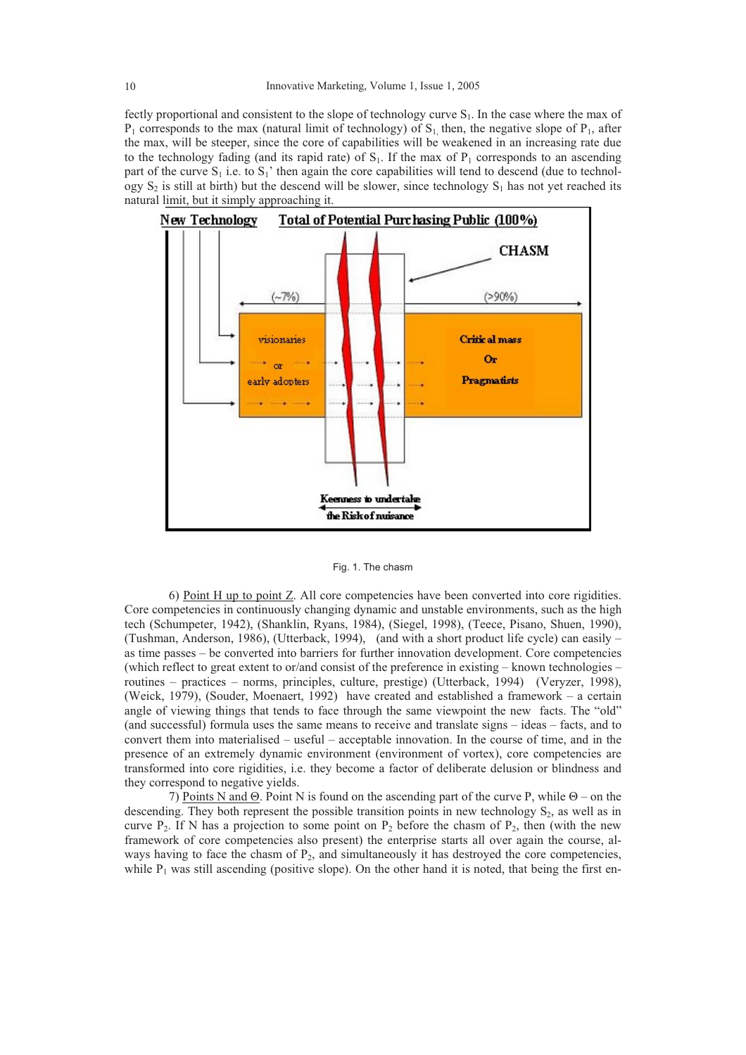fectly proportional and consistent to the slope of technology curve  $S_1$ . In the case where the max of  $P_1$  corresponds to the max (natural limit of technology) of  $S_1$ , then, the negative slope of  $P_1$ , after the max, will be steeper, since the core of capabilities will be weakened in an increasing rate due to the technology fading (and its rapid rate) of  $S<sub>1</sub>$ . If the max of  $P<sub>1</sub>$  corresponds to an ascending part of the curve  $S_1$  i.e. to  $S_1$ ' then again the core capabilities will tend to descend (due to technology  $S_2$  is still at birth) but the descend will be slower, since technology  $S_1$  has not yet reached its natural limit, but it simply approaching it.



Fig. 1. The chasm

6) Point  $H$  up to point  $Z$ . All core competencies have been converted into core rigidities. Core competencies in continuously changing dynamic and unstable environments, such as the high tech (Schumpeter, 1942), (Shanklin, Ryans, 1984), (Siegel, 1998), (Teece, Pisano, Shuen, 1990), (Tushman, Anderson, 1986), (Utterback, 1994), (and with a short product life cycle) can easily – as time passes – be converted into barriers for further innovation development. Core competencies (which reflect to great extent to or/and consist of the preference in existing – known technologies – routines – practices – norms, principles, culture, prestige) (Utterback, 1994) (Veryzer, 1998), (Weick, 1979), (Souder, Moenaert, 1992) have created and established a framework – a certain angle of viewing things that tends to face through the same viewpoint the new facts. The "old" (and successful) formula uses the same means to receive and translate signs – ideas – facts, and to convert them into materialised – useful – acceptable innovation. In the course of time, and in the presence of an extremely dynamic environment (environment of vortex), core competencies are transformed into core rigidities, i.e. they become a factor of deliberate delusion or blindness and they correspond to negative yields.

7) Points N and  $\Theta$ . Point N is found on the ascending part of the curve P, while  $\Theta$  – on the descending. They both represent the possible transition points in new technology  $S_2$ , as well as in curve  $P_2$ . If N has a projection to some point on  $P_2$  before the chasm of  $P_2$ , then (with the new framework of core competencies also present) the enterprise starts all over again the course, always having to face the chasm of  $P_2$ , and simultaneously it has destroyed the core competencies, while  $P_1$  was still ascending (positive slope). On the other hand it is noted, that being the first en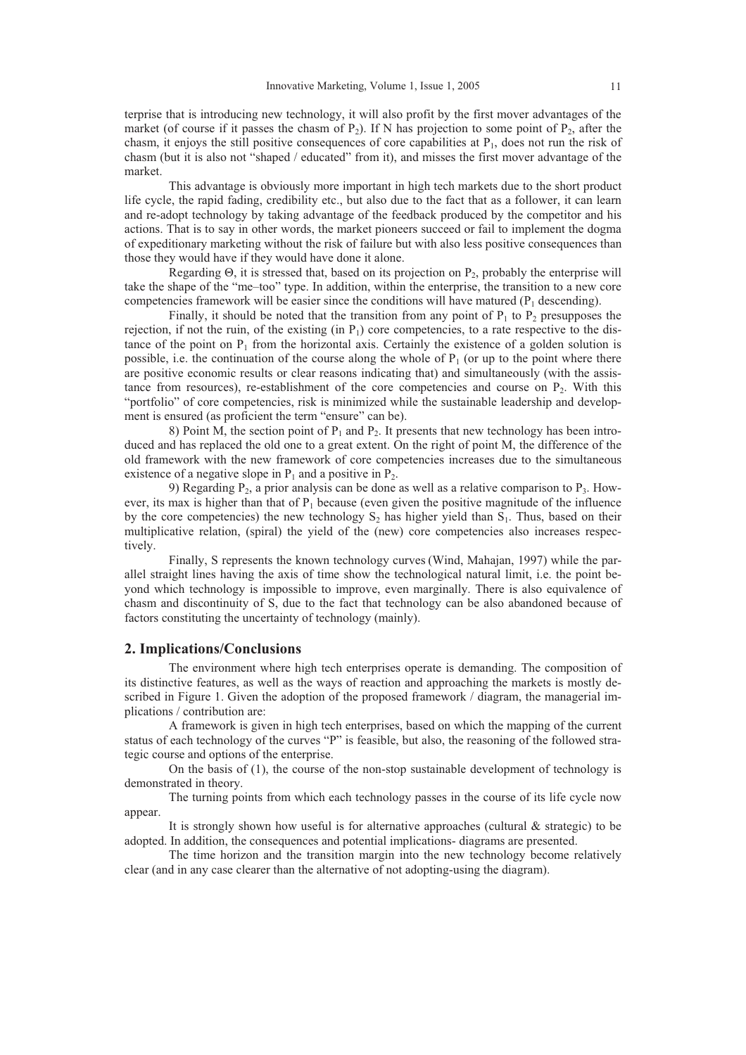terprise that is introducing new technology, it will also profit by the first mover advantages of the market (of course if it passes the chasm of  $P_2$ ). If N has projection to some point of  $P_2$ , after the chasm, it enjoys the still positive consequences of core capabilities at  $P_1$ , does not run the risk of chasm (but it is also not "shaped / educated" from it), and misses the first mover advantage of the market.

This advantage is obviously more important in high tech markets due to the short product life cycle, the rapid fading, credibility etc., but also due to the fact that as a follower, it can learn and re-adopt technology by taking advantage of the feedback produced by the competitor and his actions. That is to say in other words, the market pioneers succeed or fail to implement the dogma of expeditionary marketing without the risk of failure but with also less positive consequences than those they would have if they would have done it alone.

Regarding  $\Theta$ , it is stressed that, based on its projection on  $P_2$ , probably the enterprise will take the shape of the "me–too" type. In addition, within the enterprise, the transition to a new core competencies framework will be easier since the conditions will have matured  $(P_1$  descending).

Finally, it should be noted that the transition from any point of  $P_1$  to  $P_2$  presupposes the rejection, if not the ruin, of the existing (in  $P_1$ ) core competencies, to a rate respective to the distance of the point on  $P_1$  from the horizontal axis. Certainly the existence of a golden solution is possible, i.e. the continuation of the course along the whole of  $P_1$  (or up to the point where there are positive economic results or clear reasons indicating that) and simultaneously (with the assistance from resources), re-establishment of the core competencies and course on  $P_2$ . With this "portfolio" of core competencies, risk is minimized while the sustainable leadership and development is ensured (as proficient the term "ensure" can be).

8) Point M, the section point of  $P_1$  and  $P_2$ . It presents that new technology has been introduced and has replaced the old one to a great extent. On the right of point M, the difference of the old framework with the new framework of core competencies increases due to the simultaneous existence of a negative slope in  $P_1$  and a positive in  $P_2$ .

9) Regarding  $P_2$ , a prior analysis can be done as well as a relative comparison to  $P_3$ . However, its max is higher than that of  $P_1$  because (even given the positive magnitude of the influence by the core competencies) the new technology  $S_2$  has higher yield than  $S_1$ . Thus, based on their multiplicative relation, (spiral) the yield of the (new) core competencies also increases respectively.

Finally, S represents the known technology curves (Wind, Mahajan, 1997) while the parallel straight lines having the axis of time show the technological natural limit, i.e. the point beyond which technology is impossible to improve, even marginally. There is also equivalence of chasm and discontinuity of S, due to the fact that technology can be also abandoned because of factors constituting the uncertainty of technology (mainly).

### **2. Implications/Conclusions**

The environment where high tech enterprises operate is demanding. The composition of its distinctive features, as well as the ways of reaction and approaching the markets is mostly described in Figure 1. Given the adoption of the proposed framework / diagram, the managerial implications / contribution are:

A framework is given in high tech enterprises, based on which the mapping of the current status of each technology of the curves "P" is feasible, but also, the reasoning of the followed strategic course and options of the enterprise.

On the basis of (1), the course of the non-stop sustainable development of technology is demonstrated in theory.

The turning points from which each technology passes in the course of its life cycle now appear.

It is strongly shown how useful is for alternative approaches (cultural  $\&$  strategic) to be adopted. In addition, the consequences and potential implications- diagrams are presented.

The time horizon and the transition margin into the new technology become relatively clear (and in any case clearer than the alternative of not adopting-using the diagram).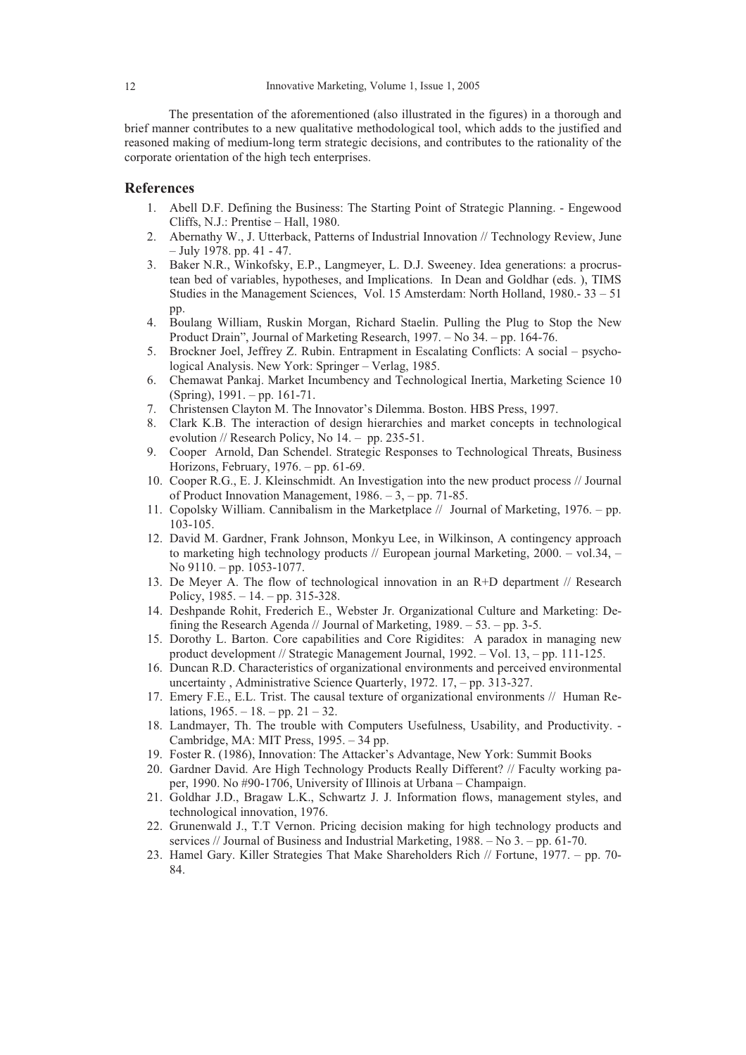The presentation of the aforementioned (also illustrated in the figures) in a thorough and brief manner contributes to a new qualitative methodological tool, which adds to the justified and reasoned making of medium-long term strategic decisions, and contributes to the rationality of the corporate orientation of the high tech enterprises.

## **References**

- 1. Abell D.F. Defining the Business: The Starting Point of Strategic Planning. Engewood Cliffs, N.J.: Prentise – Hall, 1980.
- 2. Abernathy W., J. Utterback, Patterns of Industrial Innovation // Technology Review, June – July 1978. pp. 41 - 47.
- 3. Baker N.R., Winkofsky, E.P., Langmeyer, L. D.J. Sweeney. Idea generations: a procrustean bed of variables, hypotheses, and Implications. In Dean and Goldhar (eds. ), TIMS Studies in the Management Sciences, Vol. 15 Amsterdam: North Holland, 1980.- 33 – 51 pp.
- 4. Boulang William, Ruskin Morgan, Richard Staelin. Pulling the Plug to Stop the New Product Drain", Journal of Marketing Research, 1997. – No 34. – pp. 164-76.
- 5. Brockner Joel, Jeffrey Z. Rubin. Entrapment in Escalating Conflicts: A social psychological Analysis. New York: Springer – Verlag, 1985.
- 6. Chemawat Pankaj. Market Incumbency and Technological Inertia, Marketing Science 10 (Spring), 1991. – pp. 161-71.
- 7. Christensen Clayton M. The Innovator's Dilemma. Boston. HBS Press, 1997.
- 8. Clark K.B. The interaction of design hierarchies and market concepts in technological evolution // Research Policy, No 14. – pp. 235-51.
- 9. Cooper Arnold, Dan Schendel. Strategic Responses to Technological Threats, Business Horizons, February, 1976. – pp. 61-69.
- 10. Cooper R.G., E. J. Kleinschmidt. An Investigation into the new product process // Journal of Product Innovation Management, 1986. – 3, – pp. 71-85.
- 11. Copolsky William. Cannibalism in the Marketplace // Journal of Marketing, 1976. pp. 103-105.
- 12. David M. Gardner, Frank Johnson, Monkyu Lee, in Wilkinson, A contingency approach to marketing high technology products // European journal Marketing, 2000. – vol.34, – No 9110. – pp. 1053-1077.
- 13. De Meyer A. The flow of technological innovation in an R+D department // Research Policy, 1985. – 14. – pp. 315-328.
- 14. Deshpande Rohit, Frederich E., Webster Jr. Organizational Culture and Marketing: Defining the Research Agenda // Journal of Marketing, 1989. – 53. – pp. 3-5.
- 15. Dorothy L. Barton. Core capabilities and Core Rigidites: A paradox in managing new product development // Strategic Management Journal, 1992. – Vol. 13, – pp. 111-125.
- 16. Duncan R.D. Characteristics of organizational environments and perceived environmental uncertainty , Administrative Science Quarterly, 1972. 17, – pp. 313-327.
- 17. Emery F.E., E.L. Trist. The causal texture of organizational environments // Human Relations,  $1965. - 18. - pp. 21 - 32.$
- 18. Landmayer, Th. The trouble with Computers Usefulness, Usability, and Productivity. Cambridge, MA: MIT Press, 1995. – 34 pp.
- 19. Foster R. (1986), Innovation: The Attacker's Advantage, New York: Summit Books
- 20. Gardner David. Are High Technology Products Really Different? // Faculty working paper, 1990. No #90-1706, University of Illinois at Urbana – Champaign.
- 21. Goldhar J.D., Bragaw L.K., Schwartz J. J. Information flows, management styles, and technological innovation, 1976.
- 22. Grunenwald J., T.T Vernon. Pricing decision making for high technology products and services // Journal of Business and Industrial Marketing, 1988. – No 3. – pp. 61-70.
- 23. Hamel Gary. Killer Strategies That Make Shareholders Rich // Fortune, 1977. pp. 70- 84.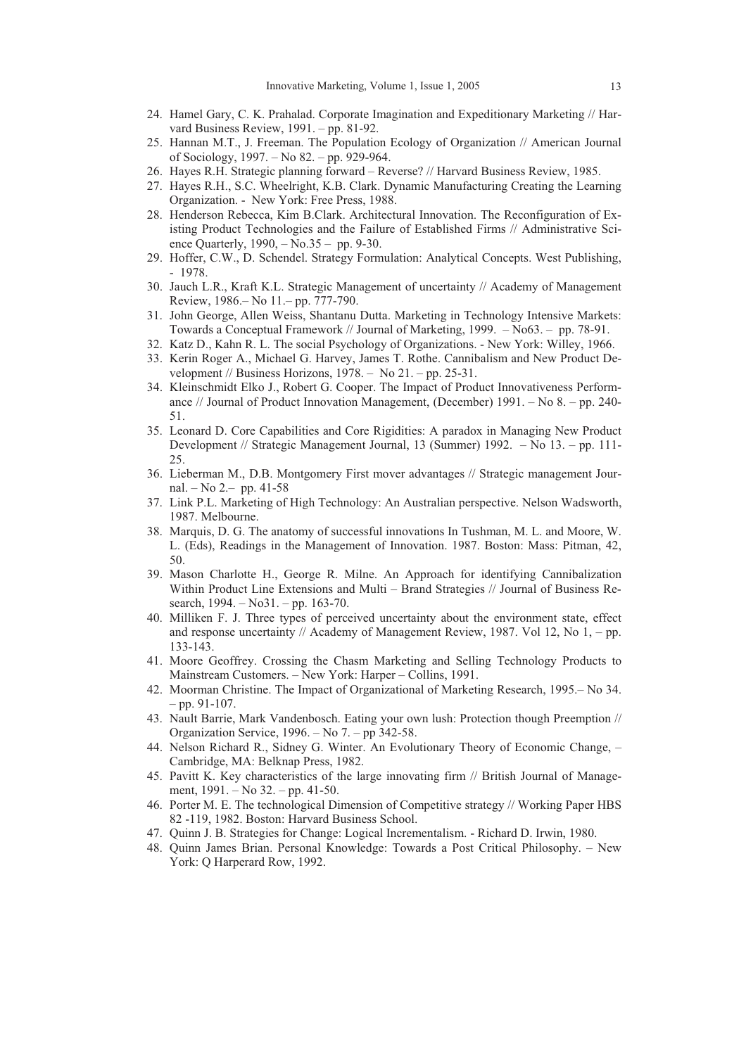- 24. Hamel Gary, C. K. Prahalad. Corporate Imagination and Expeditionary Marketing // Harvard Business Review, 1991. – pp. 81-92.
- 25. Hannan M.T., J. Freeman. The Population Ecology of Organization // American Journal of Sociology, 1997. – No 82. – pp. 929-964.
- 26. Hayes R.H. Strategic planning forward Reverse? // Harvard Business Review, 1985.
- 27. Hayes R.H., S.C. Wheelright, K.B. Clark. Dynamic Manufacturing Creating the Learning Organization. - New York: Free Press, 1988.
- 28. Henderson Rebecca, Kim B.Clark. Architectural Innovation. The Reconfiguration of Existing Product Technologies and the Failure of Established Firms // Administrative Science Quarterly, 1990, – No.35 – pp. 9-30.
- 29. Hoffer, C.W., D. Schendel. Strategy Formulation: Analytical Concepts. West Publishing, - 1978.
- 30. Jauch L.R., Kraft K.L. Strategic Management of uncertainty // Academy of Management Review, 1986.– No 11.– pp. 777-790.
- 31. John George, Allen Weiss, Shantanu Dutta. Marketing in Technology Intensive Markets: Towards a Conceptual Framework // Journal of Marketing, 1999. – No63. – pp. 78-91.
- 32. Katz D., Kahn R. L. The social Psychology of Organizations. New York: Willey, 1966. 33. Kerin Roger A., Michael G. Harvey, James T. Rothe. Cannibalism and New Product De
	- velopment // Business Horizons,  $1978. -$  No  $21. -$  pp. 25-31.
- 34. Kleinschmidt Elko J., Robert G. Cooper. The Impact of Product Innovativeness Performance // Journal of Product Innovation Management, (December) 1991. – No 8. – pp. 240- 51.
- 35. Leonard D. Core Capabilities and Core Rigidities: A paradox in Managing New Product Development // Strategic Management Journal, 13 (Summer) 1992. – No 13. – pp. 111- 25.
- 36. Lieberman M., D.B. Montgomery First mover advantages // Strategic management Journal. – No 2.– pp. 41-58
- 37. Link P.L. Marketing of High Technology: An Australian perspective. Nelson Wadsworth, 1987. Melbourne.
- 38. Marquis, D. G. The anatomy of successful innovations In Tushman, M. L. and Moore, W. L. (Eds), Readings in the Management of Innovation. 1987. Boston: Mass: Pitman, 42, 50.
- 39. Mason Charlotte H., George R. Milne. An Approach for identifying Cannibalization Within Product Line Extensions and Multi – Brand Strategies // Journal of Business Research, 1994. – No31. – pp. 163-70.
- 40. Milliken F. J. Three types of perceived uncertainty about the environment state, effect and response uncertainty // Academy of Management Review, 1987. Vol 12, No  $1, -$  pp. 133-143.
- 41. Moore Geoffrey. Crossing the Chasm Marketing and Selling Technology Products to Mainstream Customers. – New York: Harper – Collins, 1991.
- 42. Moorman Christine. The Impact of Organizational of Marketing Research, 1995.– No 34.  $-$  pp. 91-107.
- 43. Nault Barrie, Mark Vandenbosch. Eating your own lush: Protection though Preemption // Organization Service, 1996. – No 7. – pp 342-58.
- 44. Nelson Richard R., Sidney G. Winter. An Evolutionary Theory of Economic Change, Cambridge, MA: Belknap Press, 1982.
- 45. Pavitt K. Key characteristics of the large innovating firm // British Journal of Management, 1991. – No 32. – pp. 41-50.
- 46. Porter M. E. The technological Dimension of Competitive strategy // Working Paper HBS 82 -119, 1982. Boston: Harvard Business School.
- 47. Quinn J. B. Strategies for Change: Logical Incrementalism. Richard D. Irwin, 1980.
- 48. Quinn James Brian. Personal Knowledge: Towards a Post Critical Philosophy. New York: Q Harperard Row, 1992.